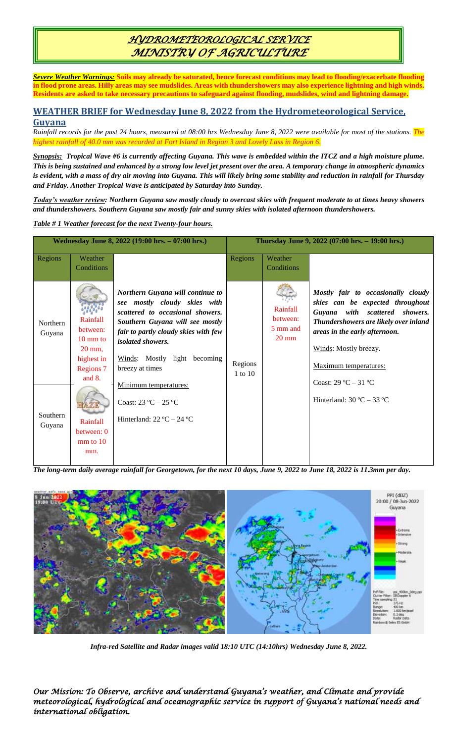# *HYDROMETEOROLOGICAL SERVICE MINISTRY OF AGRICULTURE*

*Severe Weather Warnings:* **Soils may already be saturated, hence forecast conditions may lead to flooding/exacerbate flooding in flood prone areas. Hilly areas may see mudslides. Areas with thundershowers may also experience lightning and high winds. Residents are asked to take necessary precautions to safeguard against flooding, mudslides, wind and lightning damage.**

### **WEATHER BRIEF for Wednesday June 8, 2022 from the Hydrometeorological Service, Guyana**

*Rainfall records for the past 24 hours, measured at 08:00 hrs Wednesday June 8, 2022 were available for most of the stations. The highest rainfall of 40.0 mm was recorded at Fort Island in Region 3 and Lovely Lass in Region 6.*

*Synopsis: Tropical Wave #6 is currently affecting Guyana. This wave is embedded within the ITCZ and a high moisture plume. This is being sustained and enhanced by a strong low level jet present over the area. A temporary change in atmospheric dynamics is evident, with a mass of dry air moving into Guyana. This will likely bring some stability and reduction in rainfall for Thursday and Friday. Another Tropical Wave is anticipated by Saturday into Sunday.* 

*Today's weather review: Northern Guyana saw mostly cloudy to overcast skies with frequent moderate to at times heavy showers and thundershowers. Southern Guyana saw mostly fair and sunny skies with isolated afternoon thundershowers.* 

### *Table # 1 Weather forecast for the next Twenty-four hours.*

| Wednesday June 8, 2022 (19:00 hrs. - 07:00 hrs.) |                                                                                                             |                                                                                                                                                                                                                                                                | Thursday June 9, 2022 (07:00 hrs. - 19:00 hrs.) |                                                     |                                                                                                                                                                                                                                                                       |
|--------------------------------------------------|-------------------------------------------------------------------------------------------------------------|----------------------------------------------------------------------------------------------------------------------------------------------------------------------------------------------------------------------------------------------------------------|-------------------------------------------------|-----------------------------------------------------|-----------------------------------------------------------------------------------------------------------------------------------------------------------------------------------------------------------------------------------------------------------------------|
| Regions                                          | Weather<br>Conditions                                                                                       |                                                                                                                                                                                                                                                                | Regions                                         | Weather<br>Conditions                               |                                                                                                                                                                                                                                                                       |
| <b>Northern</b><br>Guyana                        | Rainfall<br>between:<br>$10 \text{ mm}$ to<br>$20 \text{ mm}$ ,<br>highest in<br><b>Regions 7</b><br>and 8. | Northern Guyana will continue to<br>see mostly cloudy skies with<br>scattered to occasional showers.<br>Southern Guyana will see mostly<br>fair to partly cloudy skies with few<br><i>isolated showers.</i><br>Winds: Mostly light becoming<br>breezy at times | Regions<br>1 to 10                              | Rainfall<br>between:<br>5 mm and<br>$20 \text{ mm}$ | Mostly fair to occasionally cloudy<br>skies can be expected throughout<br>Guyana with scattered showers.<br>Thundershowers are likely over inland<br>areas in the early afternoon.<br>Winds: Mostly breezy.<br>Maximum temperatures:<br>Coast: $29^{\circ}$ C – 31 °C |
| Southern<br>Guyana                               | Rainfall<br>between: 0<br>$mm$ to 10<br>mm.                                                                 | Minimum temperatures:<br>Coast: $23 \text{ °C} - 25 \text{ °C}$<br>Hinterland: $22^{\circ}C - 24^{\circ}C$                                                                                                                                                     |                                                 |                                                     | Hinterland: $30^{\circ}$ C – $33^{\circ}$ C                                                                                                                                                                                                                           |

*The long-term daily average rainfall for Georgetown, for the next 10 days, June 9, 2022 to June 18, 2022 is 11.3mm per day.*



*Infra-red Satellite and Radar images valid 18:10 UTC (14:10hrs) Wednesday June 8, 2022.*

*Our Mission: To Observe, archive and understand Guyana's weather, and Climate and provide meteorological, hydrological and oceanographic service in support of Guyana's national needs and international obligation.*